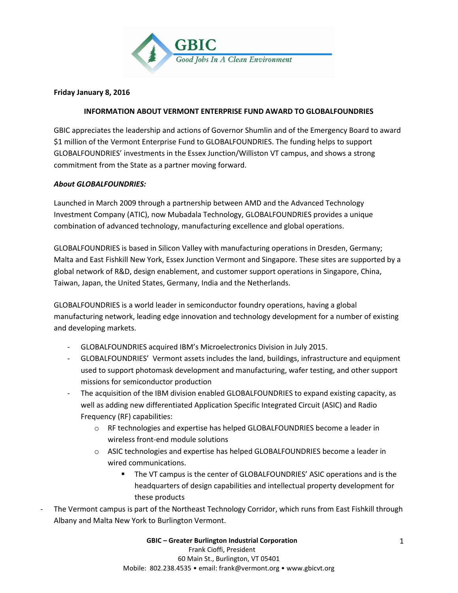

#### **Friday January 8, 2016**

## **INFORMATION ABOUT VERMONT ENTERPRISE FUND AWARD TO GLOBALFOUNDRIES**

GBIC appreciates the leadership and actions of Governor Shumlin and of the Emergency Board to award \$1 million of the Vermont Enterprise Fund to GLOBALFOUNDRIES. The funding helps to support GLOBALFOUNDRIES' investments in the Essex Junction/Williston VT campus, and shows a strong commitment from the State as a partner moving forward.

## *About GLOBALFOUNDRIES:*

Launched in March 2009 through a partnership between AMD and the Advanced Technology Investment Company (ATIC), now Mubadala Technology, GLOBALFOUNDRIES provides a unique combination of advanced technology, manufacturing excellence and global operations.

GLOBALFOUNDRIES is based in Silicon Valley with manufacturing operations in Dresden, Germany; Malta and East Fishkill New York, Essex Junction Vermont and Singapore. These sites are supported by a global network of R&D, design enablement, and customer support operations in Singapore, China, Taiwan, Japan, the United States, Germany, India and the Netherlands.

GLOBALFOUNDRIES is a world leader in semiconductor foundry operations, having a global manufacturing network, leading edge innovation and technology development for a number of existing and developing markets.

- GLOBALFOUNDRIES acquired IBM's Microelectronics Division in July 2015.
- GLOBALFOUNDRIES' Vermont assets includes the land, buildings, infrastructure and equipment used to support photomask development and manufacturing, wafer testing, and other support missions for semiconductor production
- The acquisition of the IBM division enabled GLOBALFOUNDRIES to expand existing capacity, as well as adding new differentiated Application Specific Integrated Circuit (ASIC) and Radio Frequency (RF) capabilities:
	- o RF technologies and expertise has helped GLOBALFOUNDRIES become a leader in wireless front-end module solutions
	- $\circ$  ASIC technologies and expertise has helped GLOBALFOUNDRIES become a leader in wired communications.
		- The VT campus is the center of GLOBALFOUNDRIES' ASIC operations and is the headquarters of design capabilities and intellectual property development for these products
- The Vermont campus is part of the Northeast Technology Corridor, which runs from East Fishkill through Albany and Malta New York to Burlington Vermont.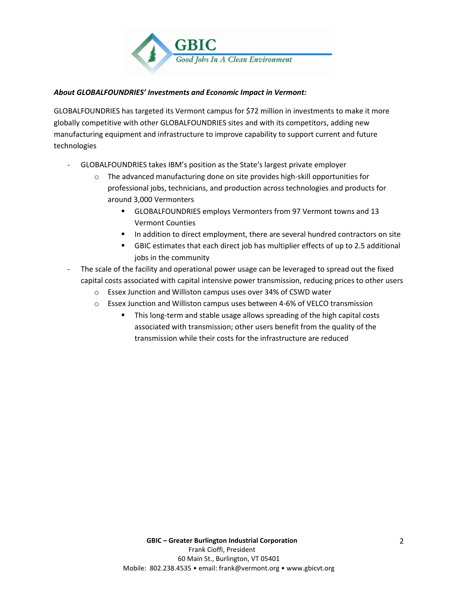

### *About GLOBALFOUNDRIES' Investments and Economic Impact in Vermont:*

GLOBALFOUNDRIES has targeted its Vermont campus for \$72 million in investments to make it more globally competitive with other GLOBALFOUNDRIES sites and with its competitors, adding new manufacturing equipment and infrastructure to improve capability to support current and future technologies

- GLOBALFOUNDRIES takes IBM's position as the State's largest private employer
	- o The advanced manufacturing done on site provides high-skill opportunities for professional jobs, technicians, and production across technologies and products for around 3,000 Vermonters
		- GLOBALFOUNDRIES employs Vermonters from 97 Vermont towns and 13 Vermont Counties
		- **In addition to direct employment, there are several hundred contractors on site**
		- GBIC estimates that each direct job has multiplier effects of up to 2.5 additional jobs in the community
- The scale of the facility and operational power usage can be leveraged to spread out the fixed capital costs associated with capital intensive power transmission, reducing prices to other users
	- o Essex Junction and Williston campus uses over 34% of CSWD water
	- o Essex Junction and Williston campus uses between 4-6% of VELCO transmission
		- **This long-term and stable usage allows spreading of the high capital costs** associated with transmission; other users benefit from the quality of the transmission while their costs for the infrastructure are reduced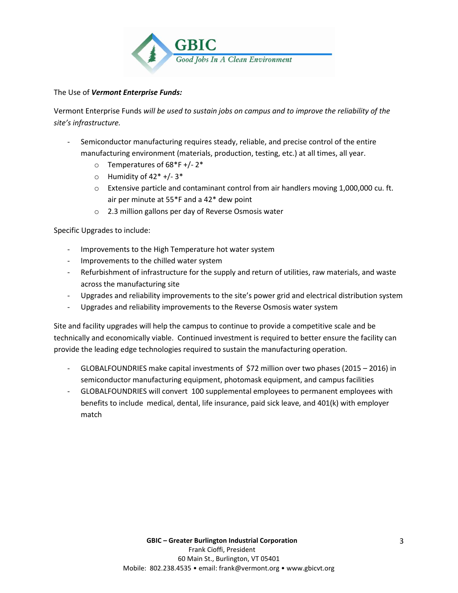

### The Use of *Vermont Enterprise Funds:*

Vermont Enterprise Funds *will be used to sustain jobs on campus and to improve the reliability of the site's infrastructure.* 

- Semiconductor manufacturing requires steady, reliable, and precise control of the entire manufacturing environment (materials, production, testing, etc.) at all times, all year.
	- o Temperatures of 68\*F +/- 2\*
	- $\circ$  Humidity of 42\* +/-3\*
	- o Extensive particle and contaminant control from air handlers moving 1,000,000 cu. ft. air per minute at 55\*F and a 42\* dew point
	- o 2.3 million gallons per day of Reverse Osmosis water

## Specific Upgrades to include:

- Improvements to the High Temperature hot water system
- Improvements to the chilled water system
- Refurbishment of infrastructure for the supply and return of utilities, raw materials, and waste across the manufacturing site
- Upgrades and reliability improvements to the site's power grid and electrical distribution system
- Upgrades and reliability improvements to the Reverse Osmosis water system

Site and facility upgrades will help the campus to continue to provide a competitive scale and be technically and economically viable. Continued investment is required to better ensure the facility can provide the leading edge technologies required to sustain the manufacturing operation.

- GLOBALFOUNDRIES make capital investments of \$72 million over two phases (2015 2016) in semiconductor manufacturing equipment, photomask equipment, and campus facilities
- GLOBALFOUNDRIES will convert 100 supplemental employees to permanent employees with benefits to include medical, dental, life insurance, paid sick leave, and 401(k) with employer match